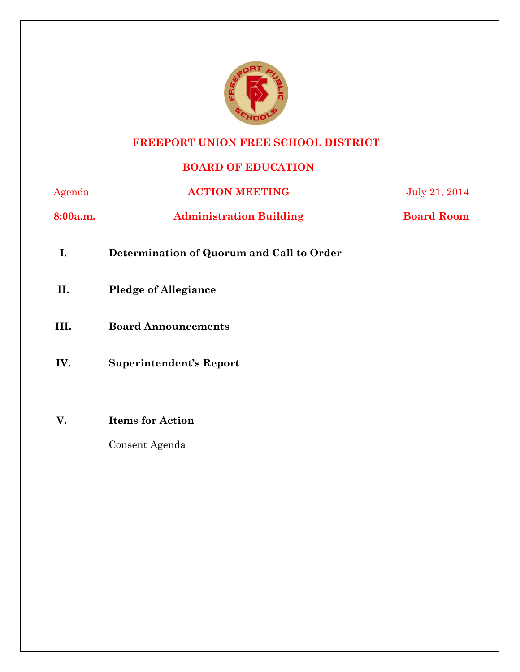

# **FREEPORT UNION FREE SCHOOL DISTRICT**

# **BOARD OF EDUCATION**

| Agenda   | <b>ACTION MEETING</b>                     | July 21, 2014     |
|----------|-------------------------------------------|-------------------|
| 8:00a.m. | <b>Administration Building</b>            | <b>Board Room</b> |
| I.       | Determination of Quorum and Call to Order |                   |
| П.       | <b>Pledge of Allegiance</b>               |                   |
| III.     | <b>Board Announcements</b>                |                   |
| IV.      | <b>Superintendent's Report</b>            |                   |
|          |                                           |                   |
| V.       | <b>Items for Action</b>                   |                   |
|          | Consent Agenda                            |                   |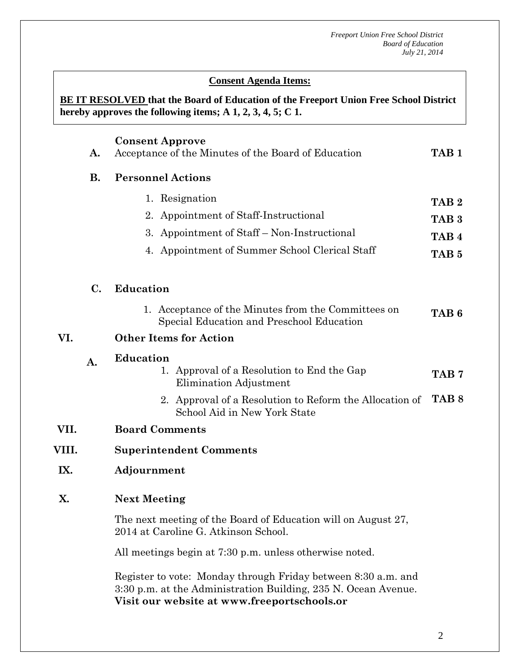#### **Conserversion Consent Agenda Items:**

**<u>BE IT RESOLVED</u> that the Board of Education of the Freeport Union Free School District hereby approves the following items; A 1, 2, 3, 4, 5; C 1.**

|       | A.             | <b>Consent Approve</b><br>Acceptance of the Minutes of the Board of Education                                                                                                  | TAB <sub>1</sub> |  |  |
|-------|----------------|--------------------------------------------------------------------------------------------------------------------------------------------------------------------------------|------------------|--|--|
|       | <b>B.</b>      | <b>Personnel Actions</b>                                                                                                                                                       |                  |  |  |
|       |                | 1. Resignation                                                                                                                                                                 | TAB <sub>2</sub> |  |  |
|       |                | 2. Appointment of Staff-Instructional                                                                                                                                          | TAB <sub>3</sub> |  |  |
|       |                | 3. Appointment of Staff – Non-Instructional                                                                                                                                    | TAB <sub>4</sub> |  |  |
|       |                | 4. Appointment of Summer School Clerical Staff                                                                                                                                 | TAB <sub>5</sub> |  |  |
|       | $\mathbf{C}$ . | <b>Education</b>                                                                                                                                                               |                  |  |  |
|       |                | 1. Acceptance of the Minutes from the Committees on<br>Special Education and Preschool Education                                                                               | TAB <sub>6</sub> |  |  |
| VI.   |                | <b>Other Items for Action</b>                                                                                                                                                  |                  |  |  |
|       | $\mathbf{A}$ . | <b>Education</b>                                                                                                                                                               |                  |  |  |
|       |                | 1. Approval of a Resolution to End the Gap<br>Elimination Adjustment                                                                                                           | TAB <sub>7</sub> |  |  |
|       |                | 2. Approval of a Resolution to Reform the Allocation of<br>School Aid in New York State                                                                                        | TAB <sub>8</sub> |  |  |
| VII.  |                | <b>Board Comments</b>                                                                                                                                                          |                  |  |  |
| VIII. |                | <b>Superintendent Comments</b>                                                                                                                                                 |                  |  |  |
| IX.   |                | Adjournment                                                                                                                                                                    |                  |  |  |
| X.    |                | <b>Next Meeting</b>                                                                                                                                                            |                  |  |  |
|       |                | The next meeting of the Board of Education will on August 27,<br>2014 at Caroline G. Atkinson School.                                                                          |                  |  |  |
|       |                | All meetings begin at 7:30 p.m. unless otherwise noted.                                                                                                                        |                  |  |  |
|       |                | Register to vote: Monday through Friday between 8:30 a.m. and<br>3:30 p.m. at the Administration Building, 235 N. Ocean Avenue.<br>Visit our website at www.freeportschools.or |                  |  |  |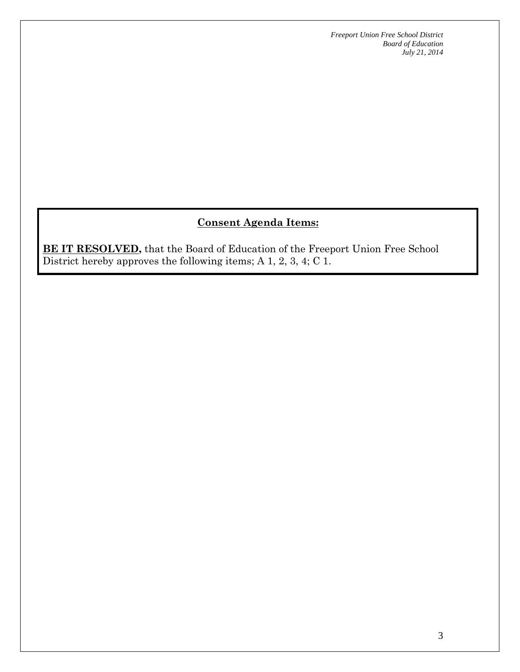*Freeport Union Free School District Board of Education July 21, 2014*

# **Consent Agenda Items:**

**BE IT RESOLVED,** that the Board of Education of the Freeport Union Free School District hereby approves the following items; A 1, 2, 3, 4; C 1.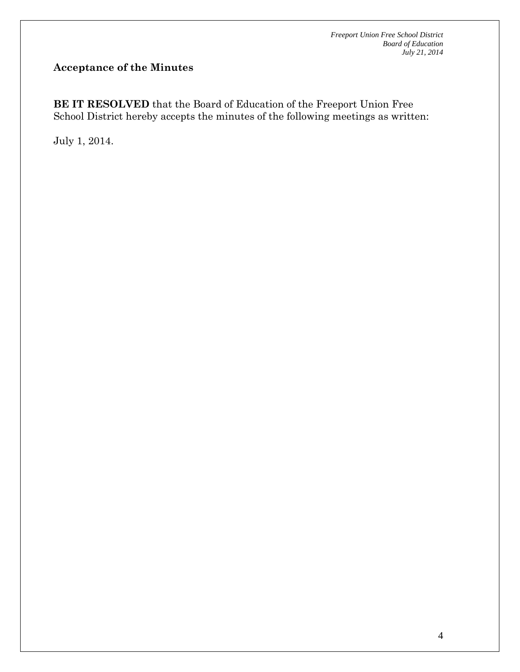# **Acceptance of the Minutes**

**BE IT RESOLVED** that the Board of Education of the Freeport Union Free School District hereby accepts the minutes of the following meetings as written:

July 1, 2014.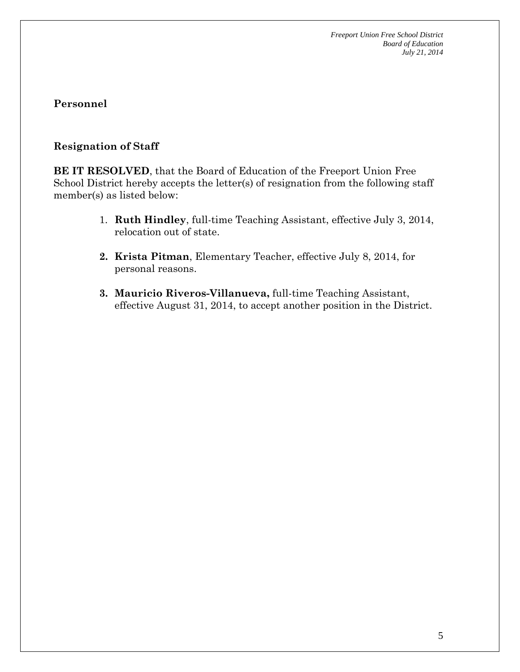# **Resignation of Staff**

**BE IT RESOLVED**, that the Board of Education of the Freeport Union Free School District hereby accepts the letter(s) of resignation from the following staff member(s) as listed below:

- 1. **Ruth Hindley**, full-time Teaching Assistant, effective July 3, 2014, relocation out of state.
- **2. Krista Pitman**, Elementary Teacher, effective July 8, 2014, for personal reasons.
- **3. Mauricio Riveros-Villanueva,** full-time Teaching Assistant, effective August 31, 2014, to accept another position in the District.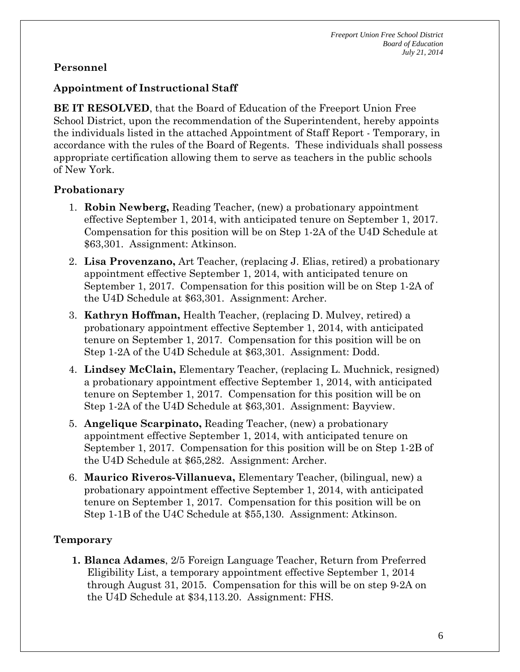### **Appointment of Instructional Staff**

**BE IT RESOLVED**, that the Board of Education of the Freeport Union Free School District, upon the recommendation of the Superintendent, hereby appoints the individuals listed in the attached Appointment of Staff Report - Temporary, in accordance with the rules of the Board of Regents. These individuals shall possess appropriate certification allowing them to serve as teachers in the public schools of New York.

#### **Probationary**

- 1. **Robin Newberg,** Reading Teacher, (new) a probationary appointment effective September 1, 2014, with anticipated tenure on September 1, 2017. Compensation for this position will be on Step 1-2A of the U4D Schedule at \$63,301. Assignment: Atkinson.
- 2. **Lisa Provenzano,** Art Teacher, (replacing J. Elias, retired) a probationary appointment effective September 1, 2014, with anticipated tenure on September 1, 2017. Compensation for this position will be on Step 1-2A of the U4D Schedule at \$63,301. Assignment: Archer.
- 3. **Kathryn Hoffman,** Health Teacher, (replacing D. Mulvey, retired) a probationary appointment effective September 1, 2014, with anticipated tenure on September 1, 2017. Compensation for this position will be on Step 1-2A of the U4D Schedule at \$63,301. Assignment: Dodd.
- 4. **Lindsey McClain,** Elementary Teacher, (replacing L. Muchnick, resigned) a probationary appointment effective September 1, 2014, with anticipated tenure on September 1, 2017. Compensation for this position will be on Step 1-2A of the U4D Schedule at \$63,301. Assignment: Bayview.
- 5. **Angelique Scarpinato,** Reading Teacher, (new) a probationary appointment effective September 1, 2014, with anticipated tenure on September 1, 2017. Compensation for this position will be on Step 1-2B of the U4D Schedule at \$65,282. Assignment: Archer.
- 6. **Maurico Riveros-Villanueva,** Elementary Teacher, (bilingual, new) a probationary appointment effective September 1, 2014, with anticipated tenure on September 1, 2017. Compensation for this position will be on Step 1-1B of the U4C Schedule at \$55,130. Assignment: Atkinson.

#### **Temporary**

**1. Blanca Adames**, 2/5 Foreign Language Teacher, Return from Preferred Eligibility List, a temporary appointment effective September 1, 2014 through August 31, 2015. Compensation for this will be on step 9-2A on the U4D Schedule at \$34,113.20. Assignment: FHS.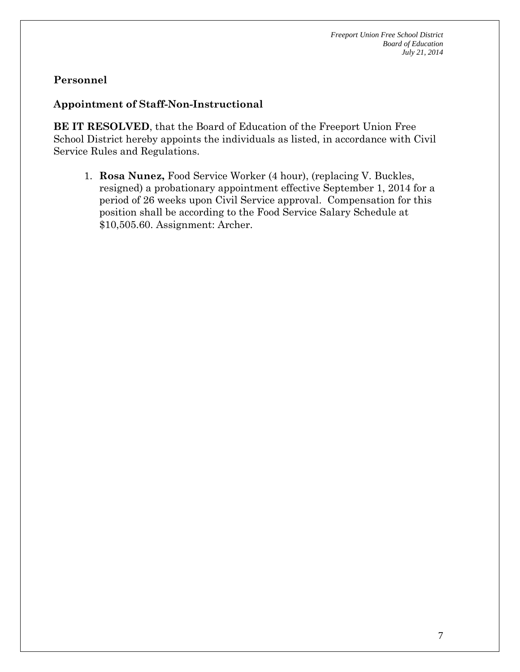### **Appointment of Staff-Non-Instructional**

**BE IT RESOLVED**, that the Board of Education of the Freeport Union Free School District hereby appoints the individuals as listed, in accordance with Civil Service Rules and Regulations.

1. **Rosa Nunez,** Food Service Worker (4 hour), (replacing V. Buckles, resigned) a probationary appointment effective September 1, 2014 for a period of 26 weeks upon Civil Service approval. Compensation for this position shall be according to the Food Service Salary Schedule at \$10,505.60. Assignment: Archer.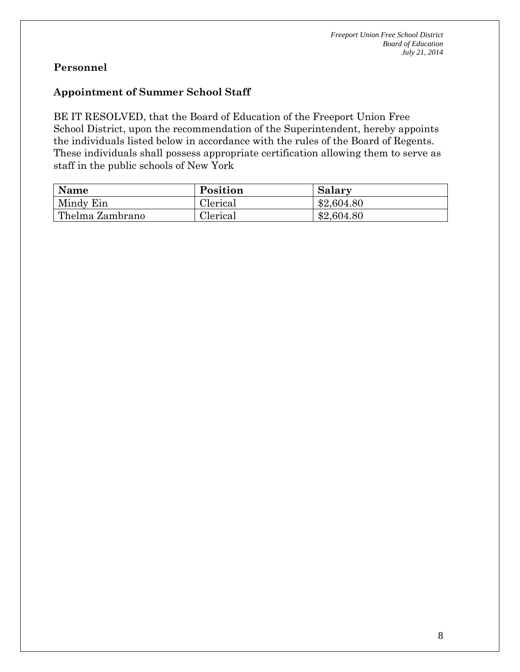#### **Appointment of Summer School Staff**

BE IT RESOLVED, that the Board of Education of the Freeport Union Free School District, upon the recommendation of the Superintendent, hereby appoints the individuals listed below in accordance with the rules of the Board of Regents. These individuals shall possess appropriate certification allowing them to serve as staff in the public schools of New York

| <b>Name</b>     | Position | Salary     |
|-----------------|----------|------------|
| Mindy Ein       | Clerical | \$2,604.80 |
| Thelma Zambrano | Clerical | \$2,604.80 |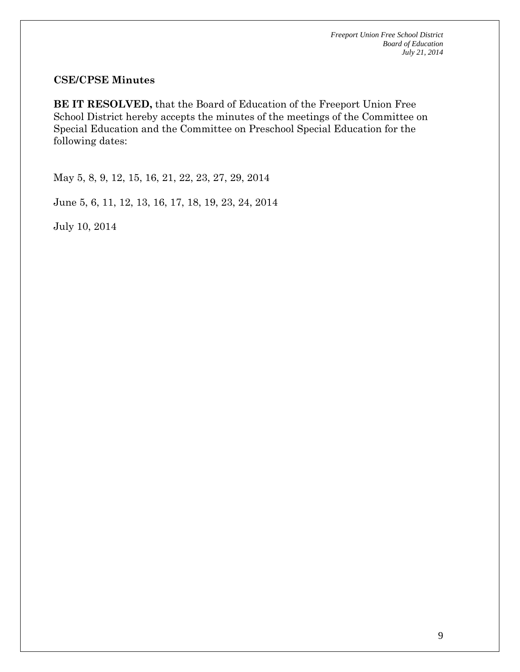#### **CSE/CPSE Minutes**

**BE IT RESOLVED,** that the Board of Education of the Freeport Union Free School District hereby accepts the minutes of the meetings of the Committee on Special Education and the Committee on Preschool Special Education for the following dates:

May 5, 8, 9, 12, 15, 16, 21, 22, 23, 27, 29, 2014

June 5, 6, 11, 12, 13, 16, 17, 18, 19, 23, 24, 2014

July 10, 2014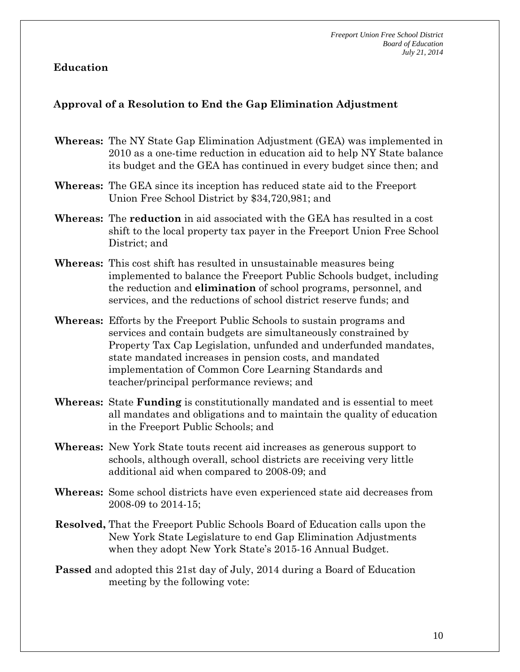# **Education**

#### **Approval of a Resolution to End the Gap Elimination Adjustment**

- **Whereas:** The NY State Gap Elimination Adjustment (GEA) was implemented in 2010 as a one-time reduction in education aid to help NY State balance its budget and the GEA has continued in every budget since then; and
- **Whereas:** The GEA since its inception has reduced state aid to the Freeport Union Free School District by \$34,720,981; and
- **Whereas:** The **reduction** in aid associated with the GEA has resulted in a cost shift to the local property tax payer in the Freeport Union Free School District; and
- **Whereas:** This cost shift has resulted in unsustainable measures being implemented to balance the Freeport Public Schools budget, including the reduction and **elimination** of school programs, personnel, and services, and the reductions of school district reserve funds; and
- **Whereas:** Efforts by the Freeport Public Schools to sustain programs and services and contain budgets are simultaneously constrained by Property Tax Cap Legislation, unfunded and underfunded mandates, state mandated increases in pension costs, and mandated implementation of Common Core Learning Standards and teacher/principal performance reviews; and
- **Whereas:** State **Funding** is constitutionally mandated and is essential to meet all mandates and obligations and to maintain the quality of education in the Freeport Public Schools; and
- **Whereas:** New York State touts recent aid increases as generous support to schools, although overall, school districts are receiving very little additional aid when compared to 2008-09; and
- **Whereas:** Some school districts have even experienced state aid decreases from 2008-09 to 2014-15;
- **Resolved,** That the Freeport Public Schools Board of Education calls upon the New York State Legislature to end Gap Elimination Adjustments when they adopt New York State's 2015-16 Annual Budget.
- **Passed** and adopted this 21st day of July, 2014 during a Board of Education meeting by the following vote: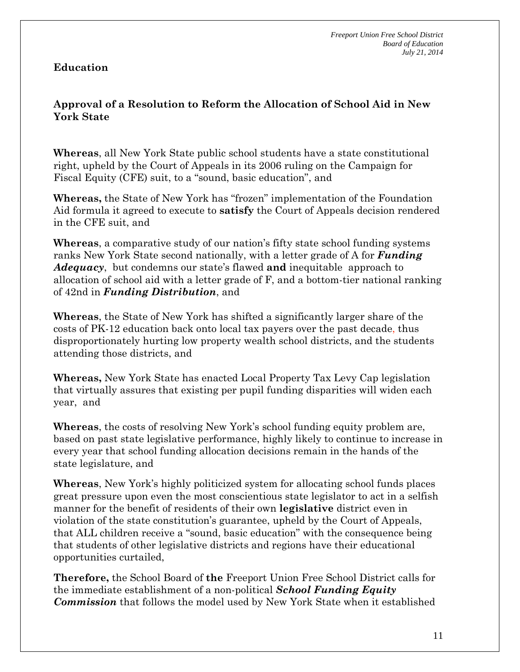# **Education**

# **Approval of a Resolution to Reform the Allocation of School Aid in New York State**

**Whereas**, all New York State public school students have a state constitutional right, upheld by the Court of Appeals in its 2006 ruling on the Campaign for Fiscal Equity (CFE) suit, to a "sound, basic education", and

**Whereas,** the State of New York has "frozen" implementation of the Foundation Aid formula it agreed to execute to **satisfy** the Court of Appeals decision rendered in the CFE suit, and

**Whereas**, a comparative study of our nation's fifty state school funding systems ranks New York State second nationally, with a letter grade of A for *Funding Adequacy*, but condemns our state's flawed **and** inequitable approach to allocation of school aid with a letter grade of F, and a bottom-tier national ranking of 42nd in *Funding Distribution*, and

**Whereas**, the State of New York has shifted a significantly larger share of the costs of PK-12 education back onto local tax payers over the past decade, thus disproportionately hurting low property wealth school districts, and the students attending those districts, and

**Whereas,** New York State has enacted Local Property Tax Levy Cap legislation that virtually assures that existing per pupil funding disparities will widen each year, and

**Whereas**, the costs of resolving New York's school funding equity problem are, based on past state legislative performance, highly likely to continue to increase in every year that school funding allocation decisions remain in the hands of the state legislature, and

**Whereas**, New York's highly politicized system for allocating school funds places great pressure upon even the most conscientious state legislator to act in a selfish manner for the benefit of residents of their own **legislative** district even in violation of the state constitution's guarantee, upheld by the Court of Appeals, that ALL children receive a "sound, basic education" with the consequence being that students of other legislative districts and regions have their educational opportunities curtailed,

**Therefore,** the School Board of **the** Freeport Union Free School District calls for the immediate establishment of a non-political *School Funding Equity Commission* that follows the model used by New York State when it established